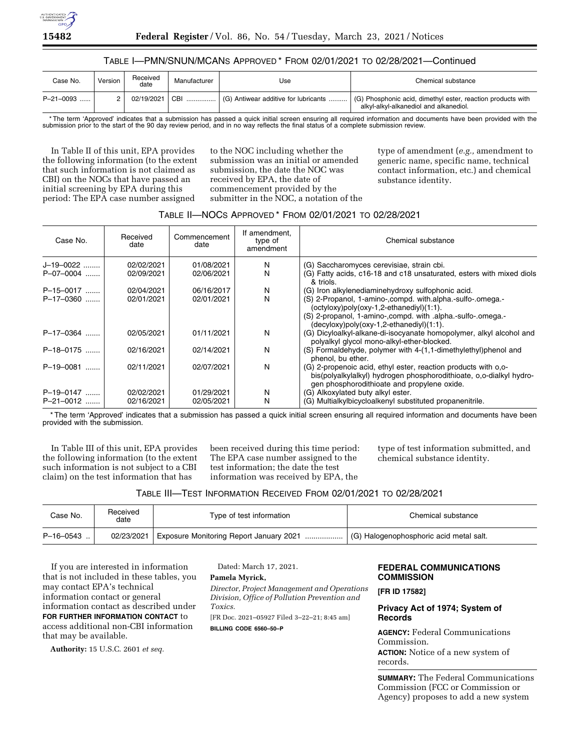

# TABLE I—PMN/SNUN/MCANS APPROVED \* FROM 02/01/2021 TO 02/28/2021—Continued

| Case No.  | Version | Received<br>date | Manufacturer | Use                                          | Chemical substance                                                                                    |
|-----------|---------|------------------|--------------|----------------------------------------------|-------------------------------------------------------------------------------------------------------|
| P-21-0093 |         | 02/19/2021       | CBI<br>.     | $\vert$ (G) Antiwear additive for lubricants | (G) Phosphonic acid, dimethyl ester, reaction products with<br>alkyl-alkyl-alkanediol and alkanediol. |

\* The term 'Approved' indicates that a submission has passed a quick initial screen ensuring all required information and documents have been provided with the submission prior to the start of the 90 day review period, and in no way reflects the final status of a complete submission review.

In Table II of this unit, EPA provides the following information (to the extent that such information is not claimed as CBI) on the NOCs that have passed an initial screening by EPA during this period: The EPA case number assigned

to the NOC including whether the submission was an initial or amended submission, the date the NOC was received by EPA, the date of commencement provided by the submitter in the NOC, a notation of the type of amendment (*e.g.,* amendment to generic name, specific name, technical contact information, etc.) and chemical substance identity.

# TABLE II—NOCS APPROVED \* FROM 02/01/2021 TO 02/28/2021

| Case No.       | Received<br>date | Commencement<br>date | If amendment,<br>type of<br>amendment | Chemical substance                                                                                                                                                                                                |
|----------------|------------------|----------------------|---------------------------------------|-------------------------------------------------------------------------------------------------------------------------------------------------------------------------------------------------------------------|
| J-19-0022      | 02/02/2021       | 01/08/2021           | N                                     | (G) Saccharomyces cerevisiae, strain cbi.                                                                                                                                                                         |
| P-07-0004      | 02/09/2021       | 02/06/2021           | N                                     | (G) Fatty acids, c16-18 and c18 unsaturated, esters with mixed diols<br>& triols.                                                                                                                                 |
| P-15-0017      | 02/04/2021       | 06/16/2017           | N                                     | (G) Iron alkylenediaminehydroxy sulfophonic acid.                                                                                                                                                                 |
| $P-17-0360$    | 02/01/2021       | 02/01/2021           | N                                     | (S) 2-Propanol, 1-amino-,compd. with.alpha.-sulfo-.omega.-<br>(octyloxy)poly(oxy-1,2-ethanediyl)(1:1).<br>(S) 2-propanol, 1-amino-,compd. with .alpha.-sulfo-.omega.-<br>(decyloxy)poly(oxy-1,2-ethanediyl)(1:1). |
| P-17-0364      | 02/05/2021       | 01/11/2021           | N                                     | (G) Dicyloalkyl-alkane-di-isocyanate homopolymer, alkyl alcohol and<br>polyalkyl glycol mono-alkyl-ether-blocked.                                                                                                 |
| P-18-0175      | 02/16/2021       | 02/14/2021           | N                                     | (S) Formaldehyde, polymer with 4-(1,1-dimethylethyl)phenol and<br>phenol, bu ether.                                                                                                                               |
| P-19-0081<br>. | 02/11/2021       | 02/07/2021           | N                                     | (G) 2-propenoic acid, ethyl ester, reaction products with 0.0-<br>bis(polyalkylalkyl) hydrogen phosphorodithioate, o,o-dialkyl hydro-<br>gen phosphorodithioate and propylene oxide.                              |
| P-19-0147      | 02/02/2021       | 01/29/2021           | N                                     | (G) Alkoxylated buty alkyl ester.                                                                                                                                                                                 |
| P-21-0012      | 02/16/2021       | 02/05/2021           | N                                     | (G) Multialkylbicycloalkenyl substituted propanenitrile.                                                                                                                                                          |

\* The term 'Approved' indicates that a submission has passed a quick initial screen ensuring all required information and documents have been provided with the submission.

In Table III of this unit, EPA provides the following information (to the extent such information is not subject to a CBI claim) on the test information that has

been received during this time period: The EPA case number assigned to the test information; the date the test information was received by EPA, the

type of test information submitted, and chemical substance identity.

# TABLE III—TEST INFORMATION RECEIVED FROM 02/01/2021 TO 02/28/2021

| Case No.    | Received<br>date | Type of test information                | Chemical substance                      |
|-------------|------------------|-----------------------------------------|-----------------------------------------|
| $P-16-0543$ | 02/23/2021       | Exposure Monitoring Report January 2021 | (G) Halogenophosphoric acid metal salt. |

If you are interested in information that is not included in these tables, you may contact EPA's technical information contact or general information contact as described under **FOR FURTHER INFORMATION CONTACT** to access additional non-CBI information that may be available.

**Authority:** 15 U.S.C. 2601 *et seq.* 

Dated: March 17, 2021.

## **Pamela Myrick,**

*Director, Project Management and Operations Division, Office of Pollution Prevention and Toxics.* 

[FR Doc. 2021–05927 Filed 3–22–21; 8:45 am]

# **BILLING CODE 6560–50–P**

# **FEDERAL COMMUNICATIONS COMMISSION**

**[FR ID 17582]** 

# **Privacy Act of 1974; System of Records**

**AGENCY:** Federal Communications Commission.

**ACTION:** Notice of a new system of records.

**SUMMARY:** The Federal Communications Commission (FCC or Commission or Agency) proposes to add a new system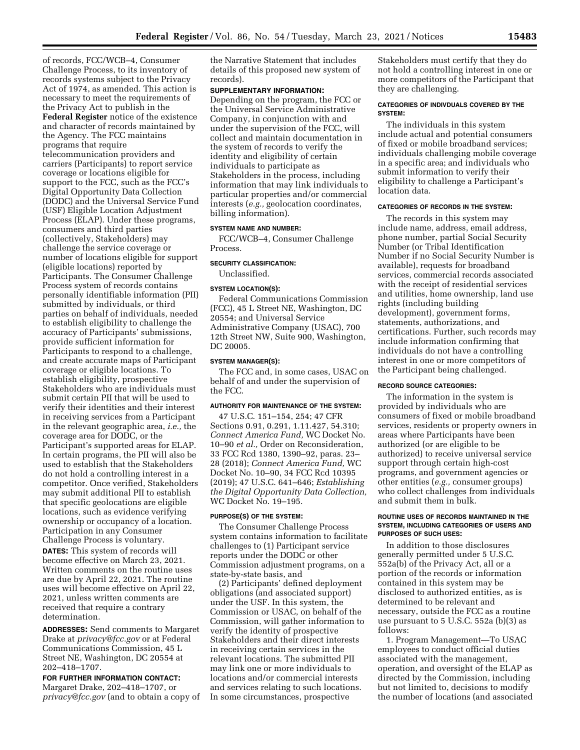of records, FCC/WCB–4, Consumer Challenge Process, to its inventory of records systems subject to the Privacy Act of 1974, as amended. This action is necessary to meet the requirements of the Privacy Act to publish in the

**Federal Register** notice of the existence and character of records maintained by the Agency. The FCC maintains programs that require telecommunication providers and carriers (Participants) to report service coverage or locations eligible for support to the FCC, such as the FCC's Digital Opportunity Data Collection (DODC) and the Universal Service Fund (USF) Eligible Location Adjustment Process (ELAP). Under these programs, consumers and third parties (collectively, Stakeholders) may challenge the service coverage or number of locations eligible for support (eligible locations) reported by Participants. The Consumer Challenge Process system of records contains personally identifiable information (PII) submitted by individuals, or third parties on behalf of individuals, needed to establish eligibility to challenge the accuracy of Participants' submissions, provide sufficient information for Participants to respond to a challenge, and create accurate maps of Participant coverage or eligible locations. To establish eligibility, prospective Stakeholders who are individuals must submit certain PII that will be used to verify their identities and their interest in receiving services from a Participant in the relevant geographic area, *i.e.,* the coverage area for DODC, or the Participant's supported areas for ELAP. In certain programs, the PII will also be used to establish that the Stakeholders do not hold a controlling interest in a competitor. Once verified, Stakeholders may submit additional PII to establish that specific geolocations are eligible locations, such as evidence verifying ownership or occupancy of a location. Participation in any Consumer Challenge Process is voluntary. **DATES:** This system of records will become effective on March 23, 2021. Written comments on the routine uses are due by April 22, 2021. The routine uses will become effective on April 22, 2021, unless written comments are received that require a contrary determination.

**ADDRESSES:** Send comments to Margaret Drake at *privacy@fcc.gov* or at Federal Communications Commission, 45 L Street NE, Washington, DC 20554 at 202–418–1707.

**FOR FURTHER INFORMATION CONTACT:**  Margaret Drake, 202–418–1707, or *privacy@fcc.gov* (and to obtain a copy of the Narrative Statement that includes details of this proposed new system of records).

### **SUPPLEMENTARY INFORMATION:**

Depending on the program, the FCC or the Universal Service Administrative Company, in conjunction with and under the supervision of the FCC, will collect and maintain documentation in the system of records to verify the identity and eligibility of certain individuals to participate as Stakeholders in the process, including information that may link individuals to particular properties and/or commercial interests (*e.g.,* geolocation coordinates, billing information).

## **SYSTEM NAME AND NUMBER:**

FCC/WCB–4, Consumer Challenge Process.

#### **SECURITY CLASSIFICATION:**

Unclassified.

### **SYSTEM LOCATION(S):**

Federal Communications Commission (FCC), 45 L Street NE, Washington, DC 20554; and Universal Service Administrative Company (USAC), 700 12th Street NW, Suite 900, Washington, DC 20005.

#### **SYSTEM MANAGER(S):**

The FCC and, in some cases, USAC on behalf of and under the supervision of the FCC.

### **AUTHORITY FOR MAINTENANCE OF THE SYSTEM:**

47 U.S.C. 151–154, 254; 47 CFR Sections 0.91, 0.291, 1.11.427, 54.310; *Connect America Fund,* WC Docket No. 10–90 *et al.,* Order on Reconsideration, 33 FCC Rcd 1380, 1390–92, paras. 23– 28 (2018); *Connect America Fund,* WC Docket No. 10–90, 34 FCC Rcd 10395 (2019); 47 U.S.C. 641–646; *Establishing the Digital Opportunity Data Collection,*  WC Docket No. 19–195.

#### **PURPOSE(S) OF THE SYSTEM:**

The Consumer Challenge Process system contains information to facilitate challenges to (1) Participant service reports under the DODC or other Commission adjustment programs, on a state-by-state basis, and

(2) Participants' defined deployment obligations (and associated support) under the USF. In this system, the Commission or USAC, on behalf of the Commission, will gather information to verify the identity of prospective Stakeholders and their direct interests in receiving certain services in the relevant locations. The submitted PII may link one or more individuals to locations and/or commercial interests and services relating to such locations. In some circumstances, prospective

Stakeholders must certify that they do not hold a controlling interest in one or more competitors of the Participant that they are challenging.

## **CATEGORIES OF INDIVDUALS COVERED BY THE SYSTEM:**

The individuals in this system include actual and potential consumers of fixed or mobile broadband services; individuals challenging mobile coverage in a specific area; and individuals who submit information to verify their eligibility to challenge a Participant's location data.

## **CATEGORIES OF RECORDS IN THE SYSTEM:**

The records in this system may include name, address, email address, phone number, partial Social Security Number (or Tribal Identification Number if no Social Security Number is available), requests for broadband services, commercial records associated with the receipt of residential services and utilities, home ownership, land use rights (including building development), government forms, statements, authorizations, and certifications. Further, such records may include information confirming that individuals do not have a controlling interest in one or more competitors of the Participant being challenged.

## **RECORD SOURCE CATEGORIES:**

The information in the system is provided by individuals who are consumers of fixed or mobile broadband services, residents or property owners in areas where Participants have been authorized (or are eligible to be authorized) to receive universal service support through certain high-cost programs, and government agencies or other entities (*e.g.,* consumer groups) who collect challenges from individuals and submit them in bulk.

#### **ROUTINE USES OF RECORDS MAINTAINED IN THE SYSTEM, INCLUDING CATEGORIES OF USERS AND PURPOSES OF SUCH USES:**

In addition to those disclosures generally permitted under 5 U.S.C. 552a(b) of the Privacy Act, all or a portion of the records or information contained in this system may be disclosed to authorized entities, as is determined to be relevant and necessary, outside the FCC as a routine use pursuant to 5 U.S.C. 552a (b)(3) as follows:

1. Program Management—To USAC employees to conduct official duties associated with the management, operation, and oversight of the ELAP as directed by the Commission, including but not limited to, decisions to modify the number of locations (and associated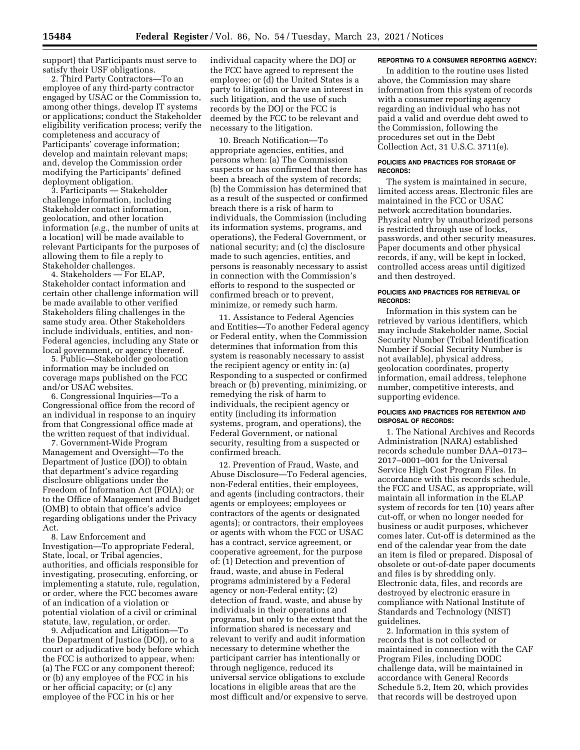support) that Participants must serve to satisfy their USF obligations.

2. Third Party Contractors—To an employee of any third-party contractor engaged by USAC or the Commission to, among other things, develop IT systems or applications; conduct the Stakeholder eligibility verification process; verify the completeness and accuracy of Participants' coverage information; develop and maintain relevant maps; and, develop the Commission order modifying the Participants' defined deployment obligation.

3. Participants — Stakeholder challenge information, including Stakeholder contact information, geolocation, and other location information (*e.g.,* the number of units at a location) will be made available to relevant Participants for the purposes of allowing them to file a reply to Stakeholder challenges.

4. Stakeholders — For ELAP, Stakeholder contact information and certain other challenge information will be made available to other verified Stakeholders filing challenges in the same study area. Other Stakeholders include individuals, entities, and non-Federal agencies, including any State or local government, or agency thereof.

5. Public—Stakeholder geolocation information may be included on coverage maps published on the FCC and/or USAC websites.

6. Congressional Inquiries—To a Congressional office from the record of an individual in response to an inquiry from that Congressional office made at the written request of that individual.

7. Government-Wide Program Management and Oversight—To the Department of Justice (DOJ) to obtain that department's advice regarding disclosure obligations under the Freedom of Information Act (FOIA); or to the Office of Management and Budget (OMB) to obtain that office's advice regarding obligations under the Privacy Act.

8. Law Enforcement and Investigation—To appropriate Federal, State, local, or Tribal agencies, authorities, and officials responsible for investigating, prosecuting, enforcing, or implementing a statute, rule, regulation, or order, where the FCC becomes aware of an indication of a violation or potential violation of a civil or criminal statute, law, regulation, or order.

9. Adjudication and Litigation—To the Department of Justice (DOJ), or to a court or adjudicative body before which the FCC is authorized to appear, when: (a) The FCC or any component thereof; or (b) any employee of the FCC in his or her official capacity; or (c) any employee of the FCC in his or her

individual capacity where the DOJ or the FCC have agreed to represent the employee; or (d) the United States is a party to litigation or have an interest in such litigation, and the use of such records by the DOJ or the FCC is deemed by the FCC to be relevant and necessary to the litigation.

10. Breach Notification—To appropriate agencies, entities, and persons when: (a) The Commission suspects or has confirmed that there has been a breach of the system of records; (b) the Commission has determined that as a result of the suspected or confirmed breach there is a risk of harm to individuals, the Commission (including its information systems, programs, and operations), the Federal Government, or national security; and (c) the disclosure made to such agencies, entities, and persons is reasonably necessary to assist in connection with the Commission's efforts to respond to the suspected or confirmed breach or to prevent, minimize, or remedy such harm.

11. Assistance to Federal Agencies and Entities—To another Federal agency or Federal entity, when the Commission determines that information from this system is reasonably necessary to assist the recipient agency or entity in: (a) Responding to a suspected or confirmed breach or (b) preventing, minimizing, or remedying the risk of harm to individuals, the recipient agency or entity (including its information systems, program, and operations), the Federal Government, or national security, resulting from a suspected or confirmed breach.

12. Prevention of Fraud, Waste, and Abuse Disclosure—To Federal agencies, non-Federal entities, their employees, and agents (including contractors, their agents or employees; employees or contractors of the agents or designated agents); or contractors, their employees or agents with whom the FCC or USAC has a contract, service agreement, or cooperative agreement, for the purpose of: (1) Detection and prevention of fraud, waste, and abuse in Federal programs administered by a Federal agency or non-Federal entity; (2) detection of fraud, waste, and abuse by individuals in their operations and programs, but only to the extent that the information shared is necessary and relevant to verify and audit information necessary to determine whether the participant carrier has intentionally or through negligence, reduced its universal service obligations to exclude locations in eligible areas that are the most difficult and/or expensive to serve.

### **REPORTING TO A CONSUMER REPORTING AGENCY:**

In addition to the routine uses listed above, the Commission may share information from this system of records with a consumer reporting agency regarding an individual who has not paid a valid and overdue debt owed to the Commission, following the procedures set out in the Debt Collection Act, 31 U.S.C. 3711(e).

## **POLICIES AND PRACTICES FOR STORAGE OF RECORDS:**

The system is maintained in secure, limited access areas. Electronic files are maintained in the FCC or USAC network accreditation boundaries. Physical entry by unauthorized persons is restricted through use of locks, passwords, and other security measures. Paper documents and other physical records, if any, will be kept in locked, controlled access areas until digitized and then destroyed.

## **POLICIES AND PRACTICES FOR RETRIEVAL OF RECORDS:**

Information in this system can be retrieved by various identifiers, which may include Stakeholder name, Social Security Number (Tribal Identification Number if Social Security Number is not available), physical address, geolocation coordinates, property information, email address, telephone number, competitive interests, and supporting evidence.

## **POLICIES AND PRACTICES FOR RETENTION AND DISPOSAL OF RECORDS:**

1. The National Archives and Records Administration (NARA) established records schedule number DAA–0173– 2017–0001–001 for the Universal Service High Cost Program Files. In accordance with this records schedule, the FCC and USAC, as appropriate, will maintain all information in the ELAP system of records for ten (10) years after cut-off, or when no longer needed for business or audit purposes, whichever comes later. Cut-off is determined as the end of the calendar year from the date an item is filed or prepared. Disposal of obsolete or out-of-date paper documents and files is by shredding only. Electronic data, files, and records are destroyed by electronic erasure in compliance with National Institute of Standards and Technology (NIST) guidelines.

2. Information in this system of records that is not collected or maintained in connection with the CAF Program Files, including DODC challenge data, will be maintained in accordance with General Records Schedule 5.2, Item 20, which provides that records will be destroyed upon